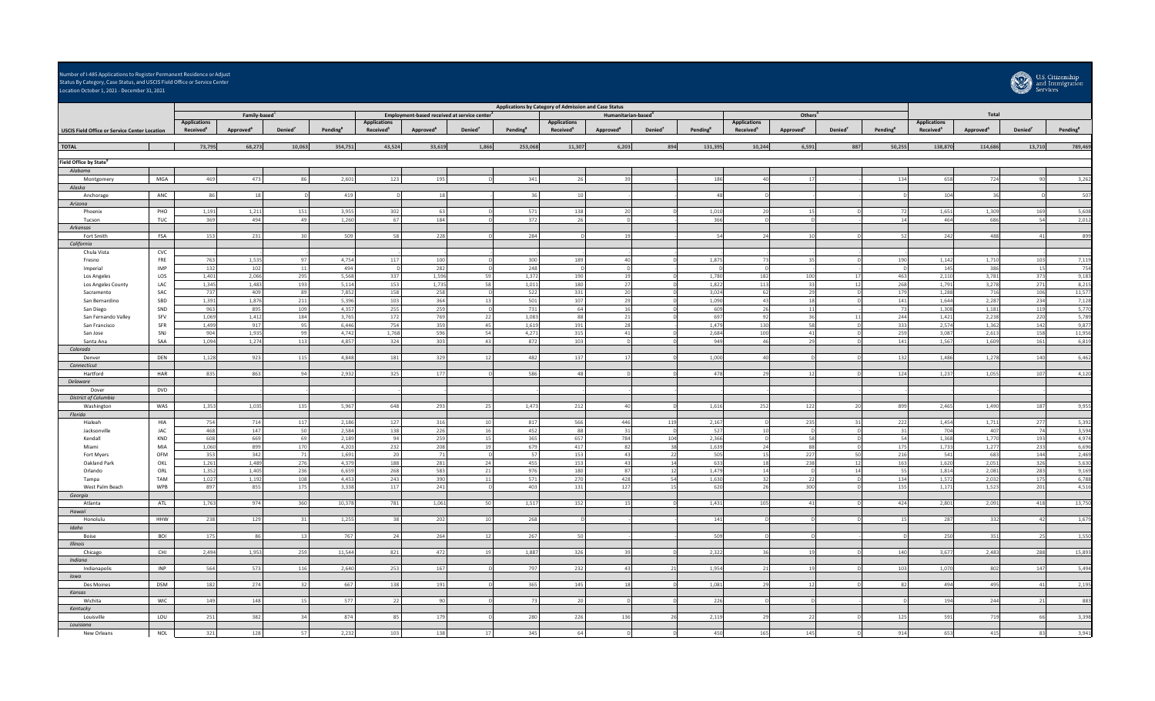| Status By Category, Case Status, and USCIS Field Office or Service Center<br>Location October 1, 2021 - December 31, 2021<br><b>Services</b> |              |                                 |                 |            |                                             |                                 |                       |                     |                                                       |                                 |                       |               |                | and Immigration                              |                          |        |            |                                              |                |                     |                |
|----------------------------------------------------------------------------------------------------------------------------------------------|--------------|---------------------------------|-----------------|------------|---------------------------------------------|---------------------------------|-----------------------|---------------------|-------------------------------------------------------|---------------------------------|-----------------------|---------------|----------------|----------------------------------------------|--------------------------|--------|------------|----------------------------------------------|----------------|---------------------|----------------|
|                                                                                                                                              |              |                                 |                 |            |                                             |                                 |                       |                     | Applications by Category of Admission and Case Status |                                 |                       |               |                |                                              |                          |        |            |                                              |                |                     |                |
|                                                                                                                                              | Family-based |                                 |                 |            | Employment-based received at service center |                                 |                       |                     |                                                       | Humanitarian-based <sup>3</sup> |                       |               |                | Others                                       |                          |        |            | Total                                        |                |                     |                |
| <b>USCIS Field Office or Service Center Location</b>                                                                                         |              | <b>Applications</b><br>Received | <b>Approved</b> | Denied     | Pending <sup>8</sup>                        | <b>Applications</b><br>Received | Approved <sup>®</sup> | Denied <sup>7</sup> | Pending                                               | <b>Applications</b><br>Received | Approved <sup>'</sup> | <b>Denied</b> | Pending        | <b>Applications</b><br>Received <sup>5</sup> | Approved <sup>®</sup>    | Denied | Pending®   | <b>Applications</b><br>Received <sup>5</sup> | Approved       | Denied <sup>7</sup> | Pending®       |
| <b>TOTAL</b>                                                                                                                                 |              | 73,795                          | 68,273          | 10,063     | 354,751                                     | 43,524                          | 33,619                | 1,866               | 253,068                                               | 11,307                          | 6,203                 | 894           | 131,395        | 10,244                                       | 6,591                    | 887    | 50,255     | 138,870                                      | 114,686        | 13,710              | 789,469        |
|                                                                                                                                              |              |                                 |                 |            |                                             |                                 |                       |                     |                                                       |                                 |                       |               |                |                                              |                          |        |            |                                              |                |                     |                |
| <b>Field Office by State</b><br>Alahama                                                                                                      |              |                                 |                 |            |                                             |                                 |                       |                     |                                                       |                                 |                       |               |                |                                              |                          |        |            |                                              |                |                     |                |
|                                                                                                                                              | MGA          |                                 | 473             | 86         |                                             |                                 |                       |                     | 341                                                   |                                 |                       |               | 186            |                                              |                          |        |            | 658                                          | 724            |                     |                |
| Montgomery<br>Alaska                                                                                                                         |              | 469                             |                 |            | 2,601                                       | 123                             | 195                   |                     |                                                       |                                 |                       |               |                |                                              |                          |        | 134        |                                              |                |                     | 3,262          |
| Anchorage                                                                                                                                    | ANC          | 86                              | 18              |            | 419                                         |                                 | 18                    |                     | 36                                                    |                                 |                       |               |                |                                              |                          |        |            | 104                                          |                |                     | 507            |
| Arizona                                                                                                                                      |              |                                 |                 |            |                                             |                                 |                       |                     |                                                       |                                 |                       |               |                |                                              |                          |        |            |                                              |                |                     |                |
| Phoenix                                                                                                                                      | PHO          | 1,191                           | 1,211           | 151        | 3,955                                       | 302                             | 63                    |                     | 571                                                   | 138                             |                       |               | 1,010          |                                              |                          |        |            | 1,651                                        | 1,309          | 16                  | 5,608          |
| Tucson                                                                                                                                       | TUC          | 369                             | 494             | 49         | 1,260                                       | 67                              | 184                   |                     | 372                                                   | 26                              |                       |               | 366            |                                              |                          |        | 14         | 464                                          | 686            |                     | 2,012          |
| Arkansas                                                                                                                                     |              |                                 |                 |            |                                             |                                 |                       |                     |                                                       |                                 |                       |               |                |                                              |                          |        |            |                                              |                |                     |                |
| Fort Smith                                                                                                                                   | FSA          | 153                             | 231             | 30         | 509                                         | 58                              | 228                   |                     | 284                                                   |                                 |                       |               | 54             |                                              |                          |        | -52        | 242                                          | 488            | $\Delta$ 1          | 899            |
| California                                                                                                                                   |              |                                 |                 |            |                                             |                                 |                       |                     |                                                       |                                 |                       |               |                |                                              |                          |        |            |                                              |                |                     |                |
| Chula Vista                                                                                                                                  | CVC          |                                 |                 |            |                                             |                                 |                       |                     |                                                       |                                 |                       |               |                |                                              |                          |        |            |                                              |                |                     |                |
| Fresno                                                                                                                                       | FRE          | 763                             | 1,535           | 97         | 4,754                                       | 117                             | 100                   |                     | 300                                                   | 189                             |                       |               | 1,875          |                                              |                          |        | 190        | 1,142                                        | 1,710          | 103                 | 7,119          |
| Imperial                                                                                                                                     | IMP          | 132                             | 102             | 11         | 494                                         | $\sqrt{2}$                      | 282                   |                     | 248                                                   |                                 |                       |               |                |                                              |                          |        |            | 145                                          | 386            | 15                  | 754            |
| Los Angeles                                                                                                                                  | LOS<br>LAC   | 1,401<br>1,345                  | 2,066<br>1,483  | 295<br>193 | 5,568<br>5,114                              | 337<br>153                      | 1,596<br>1,735        | 59<br>58            | 1,372<br>1,011                                        | 190<br>180                      | 27                    |               | 1,780<br>1,822 | 182<br>113                                   | 100<br>$\mathbb{R}^2$    |        | 463<br>268 | 2,110<br>1,791                               | 3,781<br>3,278 | 373<br>271          | 9,183<br>8,215 |
| Los Angeles County<br>Sacramento                                                                                                             | SAC          | 737                             | 409             | 89         | 7,852                                       | 158                             | 258                   |                     | 522                                                   | 331                             | $\overline{2}$        |               | 3,024          | 62                                           | 29                       |        | 179        | 1,288                                        | 716            | 106                 | 11,577         |
| San Bernardino                                                                                                                               | SBD          | 1,391                           | 1,876           | 211        | 5,396                                       | 103                             | 364                   | 13                  | 501                                                   | 107                             |                       |               | 1,090          | 43                                           | 18                       |        | 141        | 1.644                                        | 2.287          | 234                 | 7,128          |
| San Diego                                                                                                                                    | SND          | 963                             | 895             | 109        | 4,357                                       | 255                             | 259                   |                     | 731                                                   | 64                              | 16                    |               | 609            | 26                                           | 11                       |        | 73         | 1,308                                        | 1,18           | 119                 | 5,770          |
| San Fernando Valley                                                                                                                          | SFV          | 1,069                           | 1,412           | 184        | 3,765                                       | 172                             | 769                   | 22                  | 1,083                                                 | 88                              |                       |               | 697            | 92                                           |                          |        | 244        | 1,421                                        | 2,238          | 220                 | 5,789          |
| San Francisco                                                                                                                                | SFR          | 1,499                           | 917             | 95         | 6,446                                       | 754                             | 359                   | 45                  | 1,619                                                 | 191                             | 28                    |               | 1,479          | 130                                          | 55                       |        | 333        | 2,574                                        | 1,362          | 142                 | 9,877          |
| San Jose                                                                                                                                     | SNJ          | 904                             | 1,935           | 99         | 4,742                                       | 1,768                           | 596                   | 54                  | 4,271                                                 | 315                             | 41                    |               | 2,684          | 100                                          | 41                       |        | 259        | 3,087                                        | 2,613          | 158                 | 11,956         |
| Santa Ana                                                                                                                                    | SAA          | 1.094                           | 1.274           | 113        | 4.857                                       | 324                             | 303                   | 43                  | 872                                                   | 103                             |                       |               | 949            | 46                                           | $\overline{\mathcal{L}}$ |        | 141        | 1.567                                        | 1.609          | 161                 | 6,819          |
| Colorado                                                                                                                                     |              |                                 |                 |            |                                             |                                 |                       |                     |                                                       |                                 |                       |               |                |                                              |                          |        |            |                                              |                |                     |                |
| Denver                                                                                                                                       | <b>DEN</b>   | 1,128                           | 923             | 115        | 4,848                                       | 181                             | 329                   | 12                  | 482                                                   | 137                             |                       |               | 1,000          |                                              |                          |        | 132        | 1,486                                        | 1,278          | 140                 | 6,462          |
| Connecticut                                                                                                                                  |              |                                 |                 |            |                                             |                                 |                       |                     |                                                       |                                 |                       |               |                |                                              |                          |        |            |                                              |                |                     |                |
| Hartford<br>Delaware                                                                                                                         | HAR          | 835                             | 863             | 94         | 2,932                                       | 325                             | 177                   |                     | 586                                                   | $\Delta$ <sub>R</sub>           |                       |               | 478            |                                              |                          |        | 124        | 1,237                                        | 1,055          | 107                 | 4,120          |
| Dover                                                                                                                                        | <b>DVD</b>   |                                 |                 |            |                                             |                                 |                       |                     |                                                       |                                 |                       |               |                |                                              |                          |        |            |                                              |                |                     |                |
| <b>District of Columbia</b>                                                                                                                  |              |                                 |                 |            |                                             |                                 |                       |                     |                                                       |                                 |                       |               |                |                                              |                          |        |            |                                              |                |                     |                |
| Washington                                                                                                                                   | WAS          | 1.353                           | 1.035           | 135        | 5.967                                       | 648                             | 293                   | 25                  | 1.473                                                 | 212                             |                       |               | 1.616          | 252                                          | 122                      |        | 899        | 2.465                                        | 1,490          | 187                 | 9,955          |
| Florida                                                                                                                                      |              |                                 |                 |            |                                             |                                 |                       |                     |                                                       |                                 |                       |               |                |                                              |                          |        |            |                                              |                |                     |                |
| Hialeah                                                                                                                                      | HIA          | 754                             | 714             | 117        | 2,186                                       | 127                             | 316                   | 10                  | 817                                                   | 566                             | 446                   | 119           | 2,167          |                                              | 235                      |        | 222        | 1,454                                        | 1,711          | 277                 | 5,392          |
| Jacksonville                                                                                                                                 | JAC          | 468                             | 147             | 50         | 2,584                                       | 138                             | 226                   | 16                  | 452                                                   | 88                              | 31                    |               | 527            |                                              |                          |        | 31         | 704                                          | 407            | 74                  | 3,594          |
| Kendall                                                                                                                                      | KND          | 608                             | 669             | 69         | 2,189                                       | 94                              | 259                   | 15                  | 365                                                   | 657                             | 784                   | 104           | 2.366          |                                              | 55                       |        | 54         | 1,368                                        | 1,770          | 193                 | 4,974          |
| Miami                                                                                                                                        | MIA          | 1,060                           | 899             | 170        | 4,203                                       | 232                             | 208                   | 19                  | 679                                                   | 417                             | 82                    | 38            | 1,639          |                                              | 88                       |        | 175        | 1,733                                        | 1,27           | 233                 | 6,696          |
| Fort Mvers                                                                                                                                   | OFM          | 353                             | 342             | 71         | 1.691                                       | 20                              | 71                    |                     | 57                                                    | 153                             | 43                    | $\mathcal{L}$ | 505            |                                              | 227                      |        | 216        | 541                                          | 683            | 144                 | 2,469          |
| Oakland Park                                                                                                                                 | OKL          | 1,261                           | 1,489           | 276        | 4,379                                       | 188                             | 281                   | 24                  | 455                                                   | 153                             | 43                    | 14            | 633            | 18<br>14                                     | 238                      | 14     | 163<br>55  | 1,620                                        | 2,05           | 326                 | 5,630          |
| Orlando                                                                                                                                      | ORL<br>TAM   | 1,352<br>1,027                  | 1,405<br>1,192  | 236<br>108 | 6,659<br>4,453                              | 268<br>243                      | 583<br>390            | 21<br>11            | 976<br>571                                            | 180<br>27(                      | 87<br>428             | 12<br>54      | 1,479<br>1,630 | -32                                          | 22                       |        | 134        | 1,814<br>1,572                               | 2,081<br>2.032 | 283<br>175          | 9,169<br>6,788 |
| Tampa<br>West Palm Beach                                                                                                                     | <b>WPB</b>   | 897                             | 855             | 175        | 3,338                                       | 117                             | 241                   |                     | 403                                                   | 131                             | 127                   | 15            | 620            | 26                                           | 300                      |        | 155        | 1,171                                        | 1,52           | 201                 | 4,516          |
| Georgia                                                                                                                                      |              |                                 |                 |            |                                             |                                 |                       |                     |                                                       |                                 |                       |               |                |                                              |                          |        |            |                                              |                |                     |                |
| Atlanta                                                                                                                                      | ATL          | 1,763                           | 974             | 360        | 10,378                                      | 781                             | 1,061                 | 50                  | 1,517                                                 | 152                             |                       |               | 1,431          | 10 <sup>5</sup>                              | $\Delta$ 1               |        | 424        | 2,801                                        | 2,091          | 418                 | 13,750         |
| Hawaii                                                                                                                                       |              |                                 |                 |            |                                             |                                 |                       |                     |                                                       |                                 |                       |               |                |                                              |                          |        |            |                                              |                |                     |                |
| Honolulu                                                                                                                                     | <b>HHW</b>   | 238                             | 129             | 31         | 1.255                                       | 38                              | 202                   | 10                  | 268                                                   |                                 |                       |               | 141            |                                              |                          |        |            | 287                                          | 332            |                     | 1.679          |
| Idaho                                                                                                                                        |              |                                 |                 |            |                                             |                                 |                       |                     |                                                       |                                 |                       |               |                |                                              |                          |        |            |                                              |                |                     |                |
| Boise                                                                                                                                        | <b>BOI</b>   | 175                             | 86              | 13         | 767                                         | 24                              | 264                   | 12                  | 267                                                   | 50                              |                       |               | 509            |                                              |                          |        |            | 250                                          | 351            |                     | 1,550          |
| Illinois                                                                                                                                     |              |                                 |                 |            |                                             |                                 |                       |                     |                                                       |                                 |                       |               |                |                                              |                          |        |            |                                              |                |                     |                |
| Chicago                                                                                                                                      | CHI          | 2,494                           | 1,953           | 259        | 11,544                                      | 821                             | 472                   | 19                  | 1,887                                                 | 326                             |                       |               | 2,322          |                                              |                          |        | 140        | 3,677                                        | 2,483          | 288                 | 15,893         |
| Indiana                                                                                                                                      | INP          | 564                             | 573             | 116        | 2.640                                       | 253                             | 167                   |                     | 797                                                   | 232                             |                       |               | 1.954          |                                              |                          |        | 103        | 1.070                                        | 80             | 147                 |                |
| Indiananolis                                                                                                                                 |              |                                 |                 |            |                                             |                                 |                       |                     |                                                       |                                 |                       |               |                |                                              | 1 <sup>1</sup>           |        |            |                                              |                |                     | 5,494          |
| lowa<br>Des Moines                                                                                                                           | <b>DSM</b>   | 182                             | 274             |            | 667                                         | 138                             | 191                   |                     | 365                                                   | 145                             |                       |               | 1,081          |                                              |                          |        |            | 494                                          | 495            |                     | 2,195          |
| Kansas                                                                                                                                       |              |                                 |                 |            |                                             |                                 |                       |                     |                                                       |                                 |                       |               |                |                                              |                          |        |            |                                              |                |                     |                |
| Wichita                                                                                                                                      | WIC          | 149                             | 148             | 15         | 577                                         | 22                              | 90                    |                     | 73                                                    | $\overline{2}$                  |                       |               | 226            |                                              |                          |        |            | 194                                          | 244            |                     | 883            |
| Kentucky                                                                                                                                     |              |                                 |                 |            |                                             |                                 |                       |                     |                                                       |                                 |                       |               |                |                                              |                          |        |            |                                              |                |                     |                |
| Louisville                                                                                                                                   | LOU          | 251                             | 382             | 3A         | 874                                         | 85                              | 179                   |                     | 280                                                   | 226                             |                       |               | 2,119          |                                              |                          |        | 12!        | 59                                           | 71             |                     | 3,398          |
| Louisiana                                                                                                                                    |              |                                 |                 |            |                                             |                                 |                       |                     |                                                       |                                 |                       |               |                |                                              |                          |        |            |                                              |                |                     |                |
| New Orleans                                                                                                                                  | <b>NOL</b>   | 321                             | 128             |            | 2,232                                       | 10 <sup>2</sup>                 | 138                   |                     | 345                                                   | 64                              |                       |               | 450            |                                              |                          |        | 914        | 653                                          | 41!            |                     | 3,941          |

**PARA** IIS

mber of I-485 Applications to Register Permanent Residence or Adjust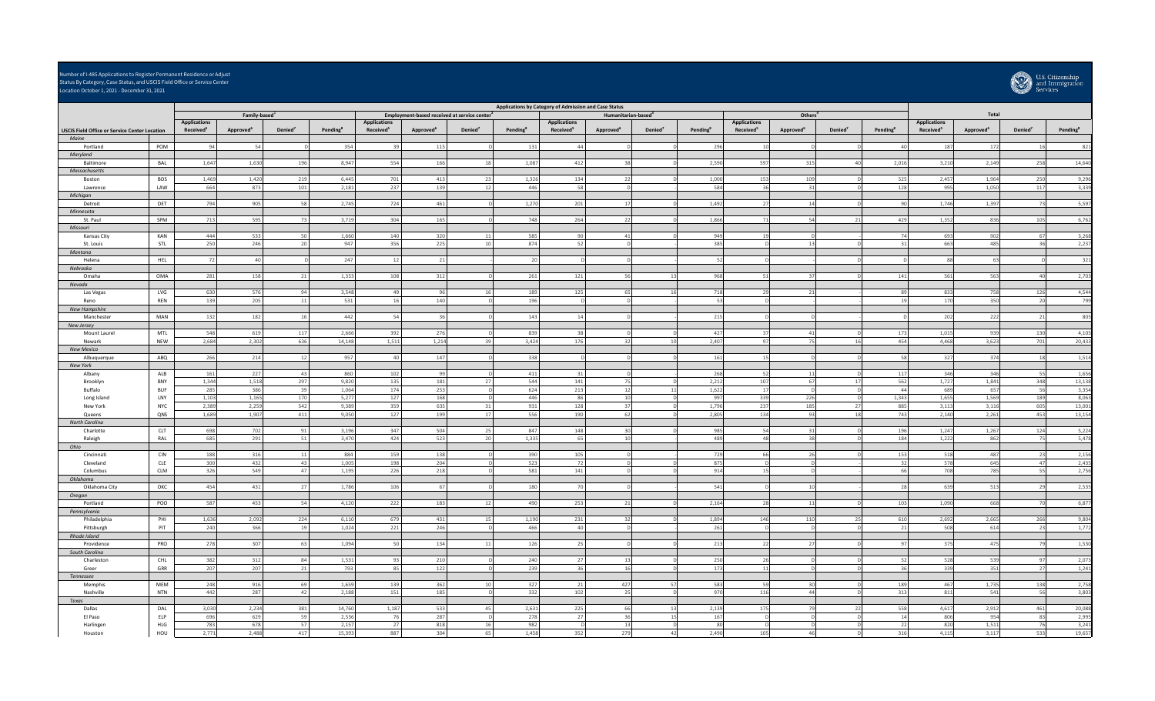### Imber of I-485 Applications to Register Permanent Residence or Adjust Status By Category, Case Status, and USCIS Field Office or Service Center Location October 1, 2021 - December 31, 2021